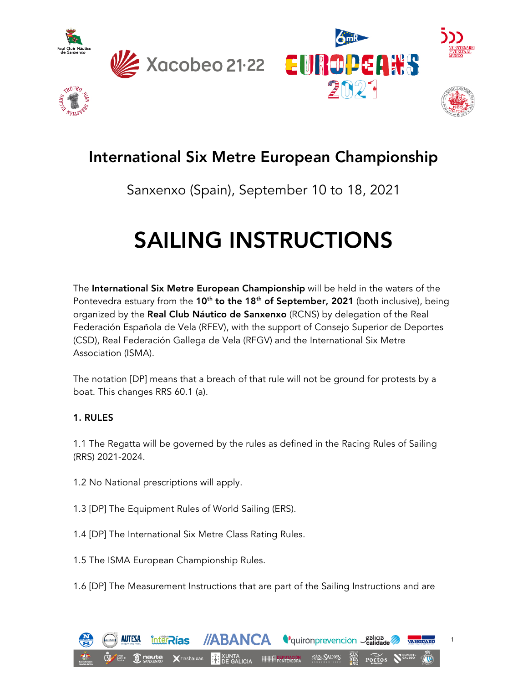







# International Six Metre European Championship

# Sanxenxo (Spain), September 10 to 18, 2021

# SAILING INSTRUCTIONS

The International Six Metre European Championship will be held in the waters of the Pontevedra estuary from the 10<sup>th</sup> to the 18<sup>th</sup> of September, 2021 (both inclusive), being organized by the Real Club Náutico de Sanxenxo (RCNS) by delegation of the Real Federación Española de Vela (RFEV), with the support of Consejo Superior de Deportes (CSD), Real Federación Gallega de Vela (RFGV) and the International Six Metre Association (ISMA).

The notation [DP] means that a breach of that rule will not be ground for protests by a boat. This changes RRS 60.1 (a).

# 1. RULES

1.1 The Regatta will be governed by the rules as defined in the Racing Rules of Sailing (RRS) 2021-2024.

- 1.2 No National prescriptions will apply.
- 1.3 [DP] The Equipment Rules of World Sailing (ERS).
- 1.4 [DP] The International Six Metre Class Rating Rules.
- 1.5 The ISMA European Championship Rules.
- 1.6 [DP] The Measurement Instructions that are part of the Sailing Instructions and are

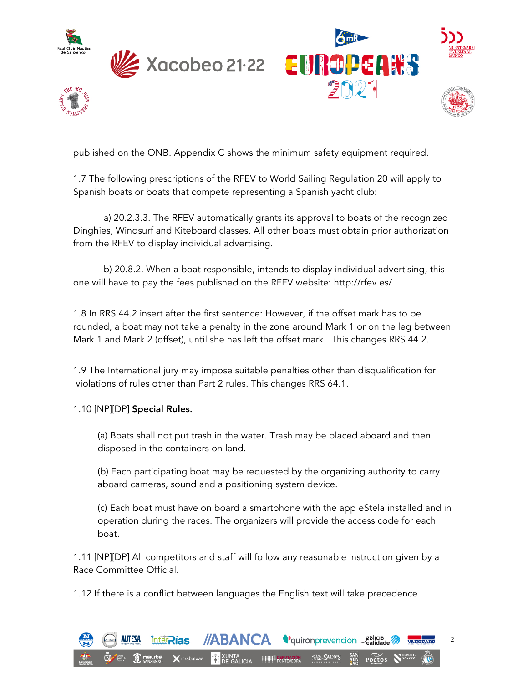









published on the ONB. Appendix C shows the minimum safety equipment required.

1.7 The following prescriptions of the RFEV to World Sailing Regulation 20 will apply to Spanish boats or boats that compete representing a Spanish yacht club:

a) 20.2.3.3. The RFEV automatically grants its approval to boats of the recognized Dinghies, Windsurf and Kiteboard classes. All other boats must obtain prior authorization from the RFEV to display individual advertising.

b) 20.8.2. When a boat responsible, intends to display individual advertising, this one will have to pay the fees published on the RFEV website: http://rfev.es/

1.8 In RRS 44.2 insert after the first sentence: However, if the offset mark has to be rounded, a boat may not take a penalty in the zone around Mark 1 or on the leg between Mark 1 and Mark 2 (offset), until she has left the offset mark. This changes RRS 44.2.

1.9 The International jury may impose suitable penalties other than disqualification for violations of rules other than Part 2 rules. This changes RRS 64.1.

# 1.10 [NP][DP] Special Rules.

(a) Boats shall not put trash in the water. Trash may be placed aboard and then disposed in the containers on land.

(b) Each participating boat may be requested by the organizing authority to carry aboard cameras, sound and a positioning system device.

(c) Each boat must have on board a smartphone with the app eStela installed and in operation during the races. The organizers will provide the access code for each boat.

1.11 [NP][DP] All competitors and staff will follow any reasonable instruction given by a Race Committee Official.

1.12 If there is a conflict between languages the English text will take precedence.

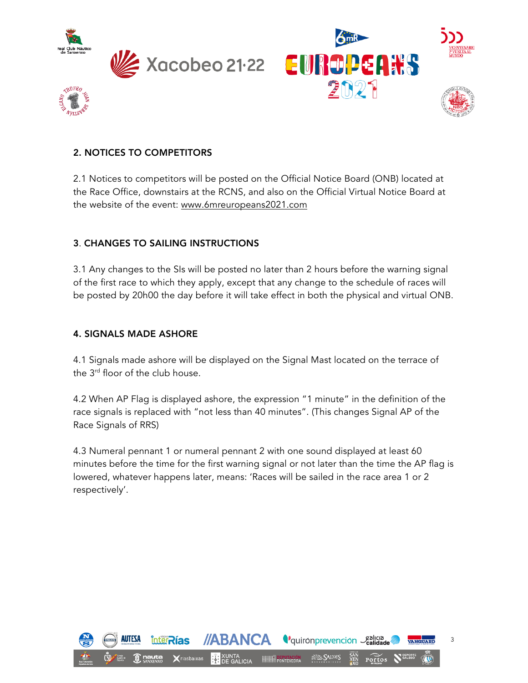





# 2. NOTICES TO COMPETITORS

2.1 Notices to competitors will be posted on the Official Notice Board (ONB) located at the Race Office, downstairs at the RCNS, and also on the Official Virtual Notice Board at the website of the event: www.6mreuropeans2021.com

#### 3. CHANGES TO SAILING INSTRUCTIONS

3.1 Any changes to the SIs will be posted no later than 2 hours before the warning signal of the first race to which they apply, except that any change to the schedule of races will be posted by 20h00 the day before it will take effect in both the physical and virtual ONB.

#### 4. SIGNALS MADE ASHORE

4.1 Signals made ashore will be displayed on the Signal Mast located on the terrace of the 3<sup>rd</sup> floor of the club house.

4.2 When AP Flag is displayed ashore, the expression "1 minute" in the definition of the race signals is replaced with "not less than 40 minutes". (This changes Signal AP of the Race Signals of RRS)

4.3 Numeral pennant 1 or numeral pennant 2 with one sound displayed at least 60 minutes before the time for the first warning signal or not later than the time the AP flag is lowered, whatever happens later, means: 'Races will be sailed in the race area 1 or 2 respectively'.

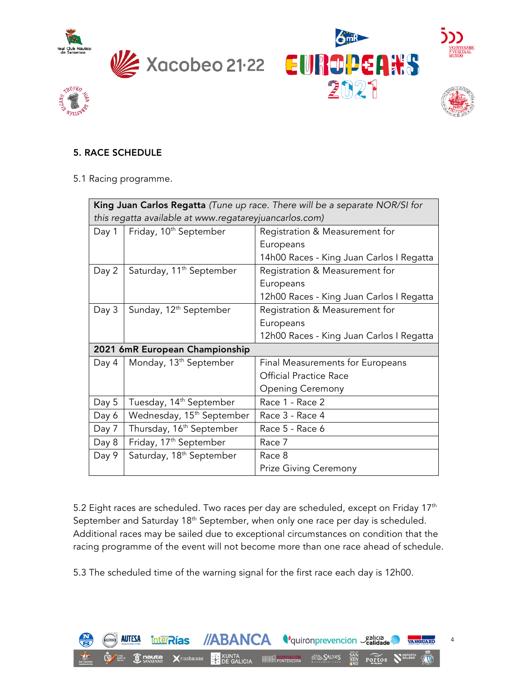









# 5. RACE SCHEDULE

#### 5.1 Racing programme.

| <b>King Juan Carlos Regatta</b> (Tune up race. There will be a separate NOR/SI for |                                       |                                          |
|------------------------------------------------------------------------------------|---------------------------------------|------------------------------------------|
| this regatta available at www.regatareyjuancarlos.com)                             |                                       |                                          |
| Day 1                                                                              | Friday, 10 <sup>th</sup> September    | Registration & Measurement for           |
|                                                                                    |                                       | Europeans                                |
|                                                                                    |                                       | 14h00 Races - King Juan Carlos I Regatta |
| Day 2                                                                              | Saturday, 11 <sup>th</sup> September  | Registration & Measurement for           |
|                                                                                    |                                       | Europeans                                |
|                                                                                    |                                       | 12h00 Races - King Juan Carlos I Regatta |
| Day 3                                                                              | Sunday, 12 <sup>th</sup> September    | Registration & Measurement for           |
|                                                                                    |                                       | Europeans                                |
|                                                                                    |                                       | 12h00 Races - King Juan Carlos I Regatta |
| 2021 6mR European Championship                                                     |                                       |                                          |
| Day 4                                                                              | Monday, 13 <sup>th</sup> September    | Final Measurements for Europeans         |
|                                                                                    |                                       | <b>Official Practice Race</b>            |
|                                                                                    |                                       | <b>Opening Ceremony</b>                  |
| Day 5                                                                              | Tuesday, 14 <sup>th</sup> September   | Race 1 - Race 2                          |
| Day 6                                                                              | Wednesday, 15 <sup>th</sup> September | Race 3 - Race 4                          |
| Day 7                                                                              | Thursday, 16 <sup>th</sup> September  | Race 5 - Race 6                          |
| Day 8                                                                              | Friday, 17 <sup>th</sup> September    | Race 7                                   |
| Day 9                                                                              | Saturday, 18 <sup>th</sup> September  | Race 8                                   |
|                                                                                    |                                       | <b>Prize Giving Ceremony</b>             |

5.2 Eight races are scheduled. Two races per day are scheduled, except on Friday  $17<sup>th</sup>$ September and Saturday 18<sup>th</sup> September, when only one race per day is scheduled. Additional races may be sailed due to exceptional circumstances on condition that the racing programme of the event will not become more than one race ahead of schedule.

5.3 The scheduled time of the warning signal for the first race each day is 12h00.

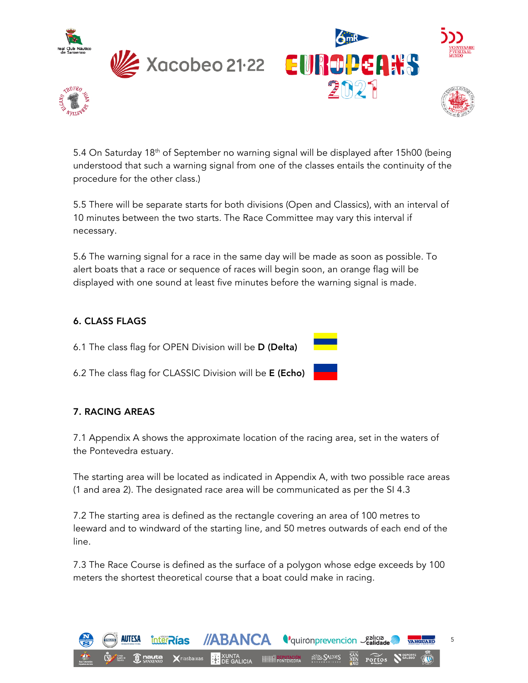









5.4 On Saturday 18<sup>th</sup> of September no warning signal will be displayed after 15h00 (being understood that such a warning signal from one of the classes entails the continuity of the procedure for the other class.)

5.5 There will be separate starts for both divisions (Open and Classics), with an interval of 10 minutes between the two starts. The Race Committee may vary this interval if necessary.

5.6 The warning signal for a race in the same day will be made as soon as possible. To alert boats that a race or sequence of races will begin soon, an orange flag will be displayed with one sound at least five minutes before the warning signal is made.

# 6. CLASS FLAGS

6.1 The class flag for OPEN Division will be D (Delta)

6.2 The class flag for CLASSIC Division will be E (Echo)

# 7. RACING AREAS

7.1 Appendix A shows the approximate location of the racing area, set in the waters of the Pontevedra estuary.

The starting area will be located as indicated in Appendix A, with two possible race areas (1 and area 2). The designated race area will be communicated as per the SI 4.3

7.2 The starting area is defined as the rectangle covering an area of 100 metres to leeward and to windward of the starting line, and 50 metres outwards of each end of the line.

7.3 The Race Course is defined as the surface of a polygon whose edge exceeds by 100 meters the shortest theoretical course that a boat could make in racing.

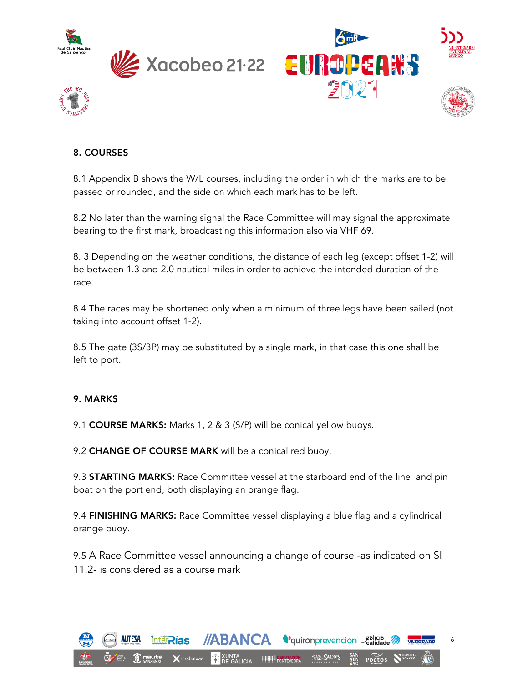





# 8. COURSES

8.1 Appendix B shows the W/L courses, including the order in which the marks are to be passed or rounded, and the side on which each mark has to be left.

8.2 No later than the warning signal the Race Committee will may signal the approximate bearing to the first mark, broadcasting this information also via VHF 69.

8. 3 Depending on the weather conditions, the distance of each leg (except offset 1-2) will be between 1.3 and 2.0 nautical miles in order to achieve the intended duration of the race.

8.4 The races may be shortened only when a minimum of three legs have been sailed (not taking into account offset 1-2).

8.5 The gate (3S/3P) may be substituted by a single mark, in that case this one shall be left to port.

# 9. MARKS

9.1 COURSE MARKS: Marks 1, 2 & 3 (S/P) will be conical yellow buoys.

9.2 CHANGE OF COURSE MARK will be a conical red buoy.

9.3 **STARTING MARKS:** Race Committee vessel at the starboard end of the line and pin boat on the port end, both displaying an orange flag.

9.4 FINISHING MARKS: Race Committee vessel displaying a blue flag and a cylindrical orange buoy.

9.5 A Race Committee vessel announcing a change of course -as indicated on SI 11.2- is considered as a course mark

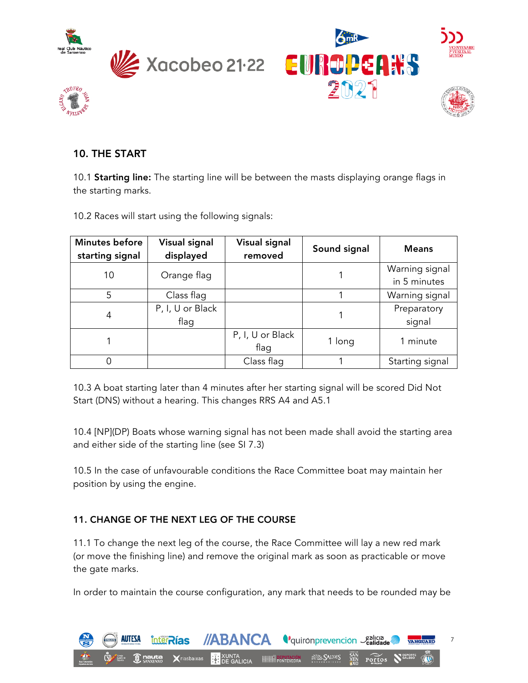





# 10. THE START

10.1 **Starting line:** The starting line will be between the masts displaying orange flags in the starting marks.

10.2 Races will start using the following signals:

| Minutes before<br>starting signal | <b>Visual signal</b><br>displayed | <b>Visual signal</b><br>removed | Sound signal | <b>Means</b>                   |
|-----------------------------------|-----------------------------------|---------------------------------|--------------|--------------------------------|
| 10                                | Orange flag                       |                                 |              | Warning signal<br>in 5 minutes |
| 5                                 | Class flag                        |                                 |              | Warning signal                 |
| 4                                 | P, I, U or Black<br>flag          |                                 |              | Preparatory<br>signal          |
|                                   |                                   | P, I, U or Black<br>flag        | 1 long       | 1 minute                       |
|                                   |                                   | Class flag                      |              | Starting signal                |

10.3 A boat starting later than 4 minutes after her starting signal will be scored Did Not Start (DNS) without a hearing. This changes RRS A4 and A5.1

10.4 [NP](DP) Boats whose warning signal has not been made shall avoid the starting area and either side of the starting line (see SI 7.3)

10.5 In the case of unfavourable conditions the Race Committee boat may maintain her position by using the engine.

# 11. CHANGE OF THE NEXT LEG OF THE COURSE

11.1 To change the next leg of the course, the Race Committee will lay a new red mark (or move the finishing line) and remove the original mark as soon as practicable or move the gate marks.

In order to maintain the course configuration, any mark that needs to be rounded may be

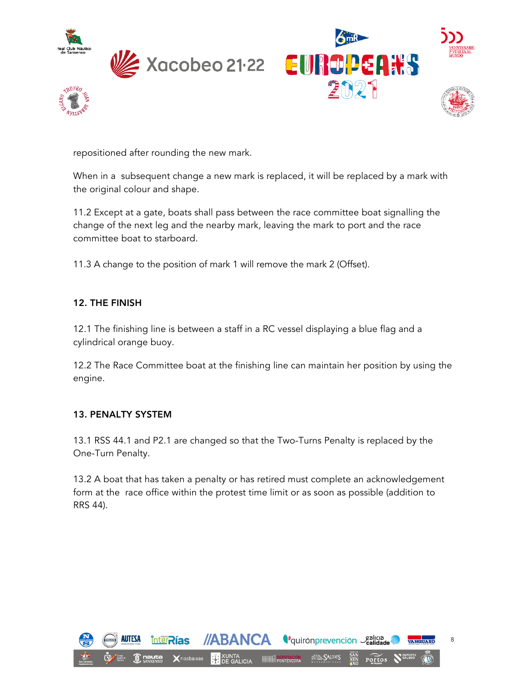







repositioned after rounding the new mark.

When in a subsequent change a new mark is replaced, it will be replaced by a mark with the original colour and shape.

11.2 Except at a gate, boats shall pass between the race committee boat signalling the change of the next leg and the nearby mark, leaving the mark to port and the race committee boat to starboard.

11.3 A change to the position of mark 1 will remove the mark 2 (Offset).

# 12. THE FINISH

12.1 The finishing line is between a staff in a RC vessel displaying a blue flag and a cylindrical orange buoy.

12.2 The Race Committee boat at the finishing line can maintain her position by using the engine.

# 13. PENALTY SYSTEM

13.1 RSS 44.1 and P2.1 are changed so that the Two-Turns Penalty is replaced by the One-Turn Penalty.

13.2 A boat that has taken a penalty or has retired must complete an acknowledgement form at the race office within the protest time limit or as soon as possible (addition to RRS 44).

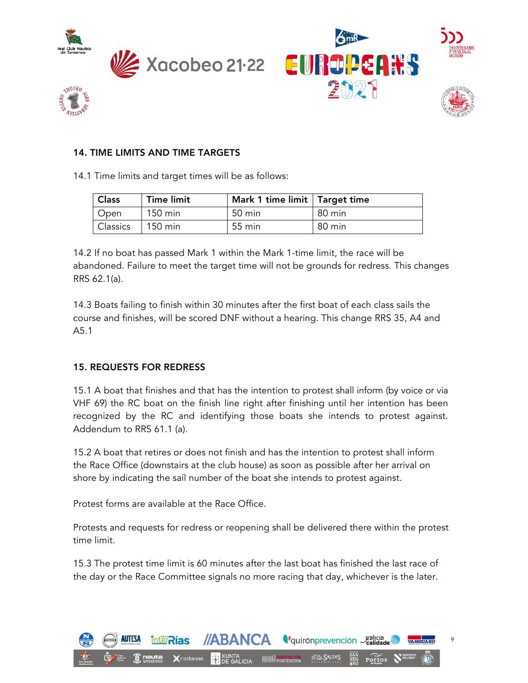





#### 14. TIME LIMITS AND TIME TARGETS

14.1 Time limits and target times will be as follows:

| <b>Class</b>      | <b>Time limit</b> | Mark 1 time limit   Target time |        |
|-------------------|-------------------|---------------------------------|--------|
| <sup>I</sup> Open | 150 min           | 50 min                          | 80 min |
| <b>Classics</b>   | 150 min           | 55 min                          | 80 min |

14.2 If no boat has passed Mark 1 within the Mark 1-time limit, the race will be abandoned. Failure to meet the target time will not be grounds for redress. This changes RRS 62.1(a).

14.3 Boats failing to finish within 30 minutes after the first boat of each class sails the course and finishes, will be scored DNF without a hearing. This change RRS 35, A4 and A5.1

#### 15. REQUESTS FOR REDRESS

15.1 A boat that finishes and that has the intention to protest shall inform (by voice or via VHF 69) the RC boat on the finish line right after finishing until her intention has been recognized by the RC and identifying those boats she intends to protest against. Addendum to RRS 61.1 (a).

15.2 A boat that retires or does not finish and has the intention to protest shall inform the Race Office (downstairs at the club house) as soon as possible after her arrival on shore by indicating the sail number of the boat she intends to protest against.

Protest forms are available at the Race Office.

Protests and requests for redress or reopening shall be delivered there within the protest time limit.

15.3 The protest time limit is 60 minutes after the last boat has finished the last race of the day or the Race Committee signals no more racing that day, whichever is the later.

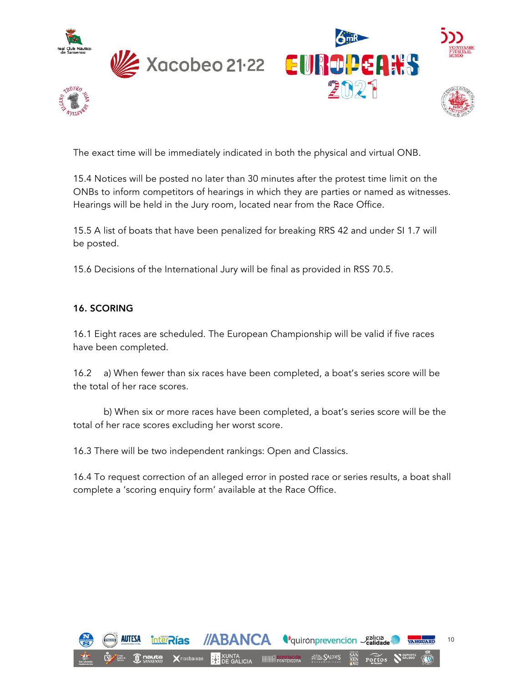









The exact time will be immediately indicated in both the physical and virtual ONB.

15.4 Notices will be posted no later than 30 minutes after the protest time limit on the ONBs to inform competitors of hearings in which they are parties or named as witnesses. Hearings will be held in the Jury room, located near from the Race Office.

15.5 A list of boats that have been penalized for breaking RRS 42 and under SI 1.7 will be posted.

15.6 Decisions of the International Jury will be final as provided in RSS 70.5.

# 16. SCORING

16.1 Eight races are scheduled. The European Championship will be valid if five races have been completed.

16.2 a) When fewer than six races have been completed, a boat's series score will be the total of her race scores.

b) When six or more races have been completed, a boat's series score will be the total of her race scores excluding her worst score.

16.3 There will be two independent rankings: Open and Classics.

16.4 To request correction of an alleged error in posted race or series results, a boat shall complete a 'scoring enquiry form' available at the Race Office.

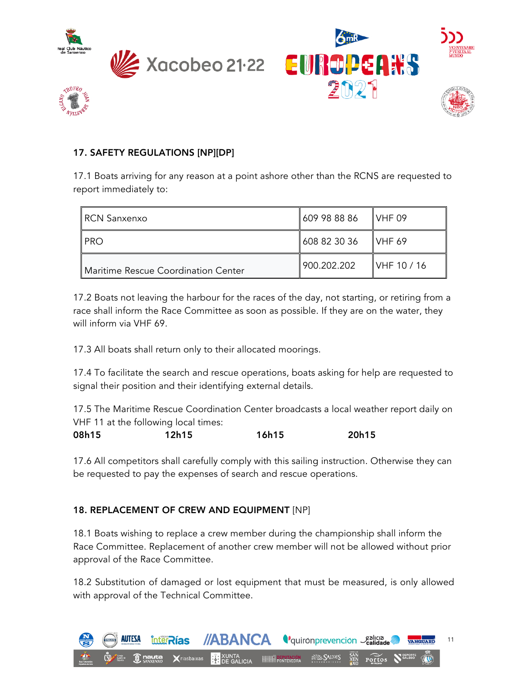

 $v_{\rm{HIS}}$ 







# 17. SAFETY REGULATIONS [NP][DP]

17.1 Boats arriving for any reason at a point ashore other than the RCNS are requested to report immediately to:

| RCN Sanxenxo                        | 609 98 88 86 | VHF 09             |
|-------------------------------------|--------------|--------------------|
| <b>IPRO</b>                         | 608 82 30 36 | IVHF <sub>69</sub> |
| Maritime Rescue Coordination Center | 900.202.202  | VHF 10 / 16        |

17.2 Boats not leaving the harbour for the races of the day, not starting, or retiring from a race shall inform the Race Committee as soon as possible. If they are on the water, they will inform via VHF 69.

17.3 All boats shall return only to their allocated moorings.

17.4 To facilitate the search and rescue operations, boats asking for help are requested to signal their position and their identifying external details.

17.5 The Maritime Rescue Coordination Center broadcasts a local weather report daily on VHF 11 at the following local times:

| 08h15 | 12h15 | 16h15 | 20h15 |
|-------|-------|-------|-------|
|       |       |       |       |

17.6 All competitors shall carefully comply with this sailing instruction. Otherwise they can be requested to pay the expenses of search and rescue operations.

# 18. REPLACEMENT OF CREW AND EQUIPMENT [NP]

18.1 Boats wishing to replace a crew member during the championship shall inform the Race Committee. Replacement of another crew member will not be allowed without prior approval of the Race Committee.

18.2 Substitution of damaged or lost equipment that must be measured, is only allowed with approval of the Technical Committee.

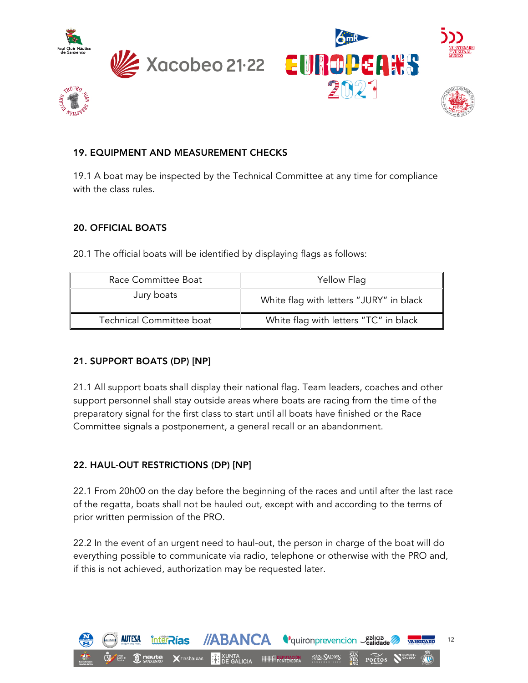





# 19. EQUIPMENT AND MEASUREMENT CHECKS

19.1 A boat may be inspected by the Technical Committee at any time for compliance with the class rules.

# 20. OFFICIAL BOATS

20.1 The official boats will be identified by displaying flags as follows:

| Race Committee Boat      | Yellow Flag                             |
|--------------------------|-----------------------------------------|
| Jury boats               | White flag with letters "JURY" in black |
| Technical Committee boat | White flag with letters "TC" in black   |

# 21. SUPPORT BOATS (DP) [NP]

21.1 All support boats shall display their national flag. Team leaders, coaches and other support personnel shall stay outside areas where boats are racing from the time of the preparatory signal for the first class to start until all boats have finished or the Race Committee signals a postponement, a general recall or an abandonment.

# 22. HAUL-OUT RESTRICTIONS (DP) [NP]

22.1 From 20h00 on the day before the beginning of the races and until after the last race of the regatta, boats shall not be hauled out, except with and according to the terms of prior written permission of the PRO.

22.2 In the event of an urgent need to haul-out, the person in charge of the boat will do everything possible to communicate via radio, telephone or otherwise with the PRO and, if this is not achieved, authorization may be requested later.

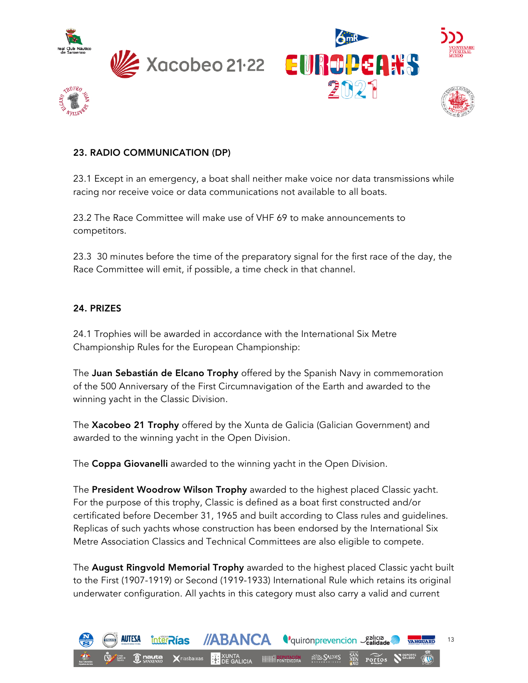





#### 23. RADIO COMMUNICATION (DP)

23.1 Except in an emergency, a boat shall neither make voice nor data transmissions while racing nor receive voice or data communications not available to all boats.

23.2 The Race Committee will make use of VHF 69 to make announcements to competitors.

23.3 30 minutes before the time of the preparatory signal for the first race of the day, the Race Committee will emit, if possible, a time check in that channel.

#### 24. PRIZES

24.1 Trophies will be awarded in accordance with the International Six Metre Championship Rules for the European Championship:

The Juan Sebastián de Elcano Trophy offered by the Spanish Navy in commemoration of the 500 Anniversary of the First Circumnavigation of the Earth and awarded to the winning yacht in the Classic Division.

The Xacobeo 21 Trophy offered by the Xunta de Galicia (Galician Government) and awarded to the winning yacht in the Open Division.

The Coppa Giovanelli awarded to the winning yacht in the Open Division.

The President Woodrow Wilson Trophy awarded to the highest placed Classic yacht. For the purpose of this trophy, Classic is defined as a boat first constructed and/or certificated before December 31, 1965 and built according to Class rules and guidelines. Replicas of such yachts whose construction has been endorsed by the International Six Metre Association Classics and Technical Committees are also eligible to compete.

The August Ringvold Memorial Trophy awarded to the highest placed Classic yacht built to the First (1907-1919) or Second (1919-1933) International Rule which retains its original underwater configuration. All yachts in this category must also carry a valid and current

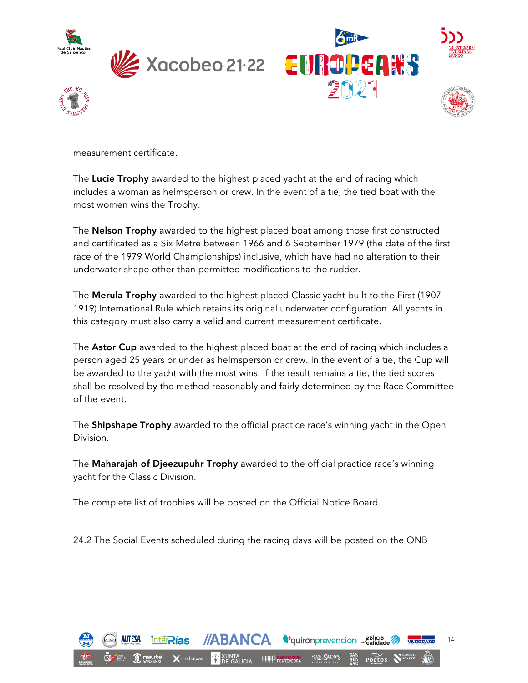





measurement certificate.

The Lucie Trophy awarded to the highest placed yacht at the end of racing which includes a woman as helmsperson or crew. In the event of a tie, the tied boat with the most women wins the Trophy.

The **Nelson Trophy** awarded to the highest placed boat among those first constructed and certificated as a Six Metre between 1966 and 6 September 1979 (the date of the first race of the 1979 World Championships) inclusive, which have had no alteration to their underwater shape other than permitted modifications to the rudder.

The Merula Trophy awarded to the highest placed Classic yacht built to the First (1907- 1919) International Rule which retains its original underwater configuration. All yachts in this category must also carry a valid and current measurement certificate.

The **Astor Cup** awarded to the highest placed boat at the end of racing which includes a person aged 25 years or under as helmsperson or crew. In the event of a tie, the Cup will be awarded to the yacht with the most wins. If the result remains a tie, the tied scores shall be resolved by the method reasonably and fairly determined by the Race Committee of the event.

The Shipshape Trophy awarded to the official practice race's winning yacht in the Open Division.

The Maharajah of Djeezupuhr Trophy awarded to the official practice race's winning yacht for the Classic Division.

The complete list of trophies will be posted on the Official Notice Board.

24.2 The Social Events scheduled during the racing days will be posted on the ONB

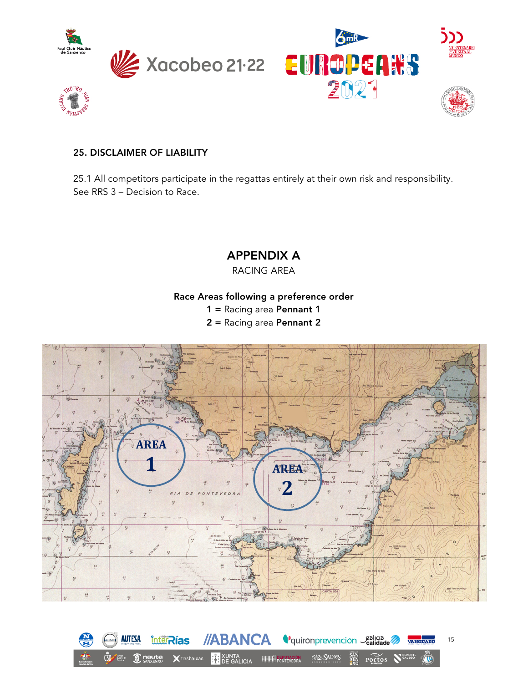





#### 25. DISCLAIMER OF LIABILITY

25.1 All competitors participate in the regattas entirely at their own risk and responsibility. See RRS 3 – Decision to Race.

APPENDIX A

RACING AREA

Race Areas following a preference order

1 = Racing area Pennant 1

2 = Racing area Pennant 2



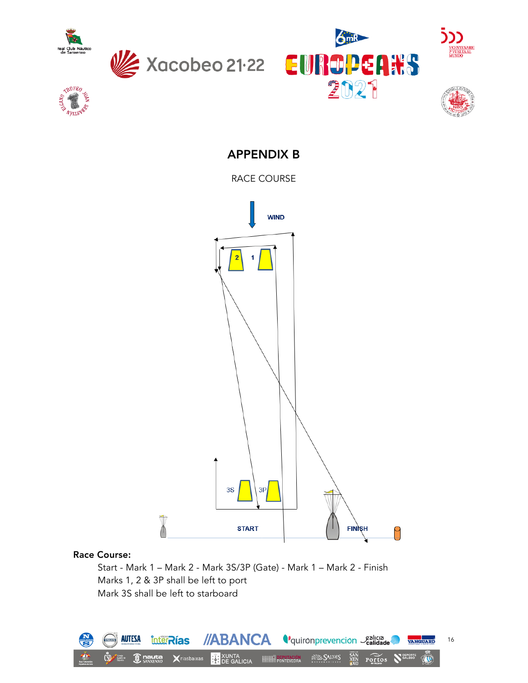

**ROFEO** 

WAITER







**CENTENARIO**<br>VUELTA AL<br>IUNDO

APPENDIX B

RACE COURSE



#### Race Course:

Start - Mark 1 – Mark 2 - Mark 3S/3P (Gate) - Mark 1 – Mark 2 - Finish Marks 1, 2 & 3P shall be left to port Mark 3S shall be left to starboard